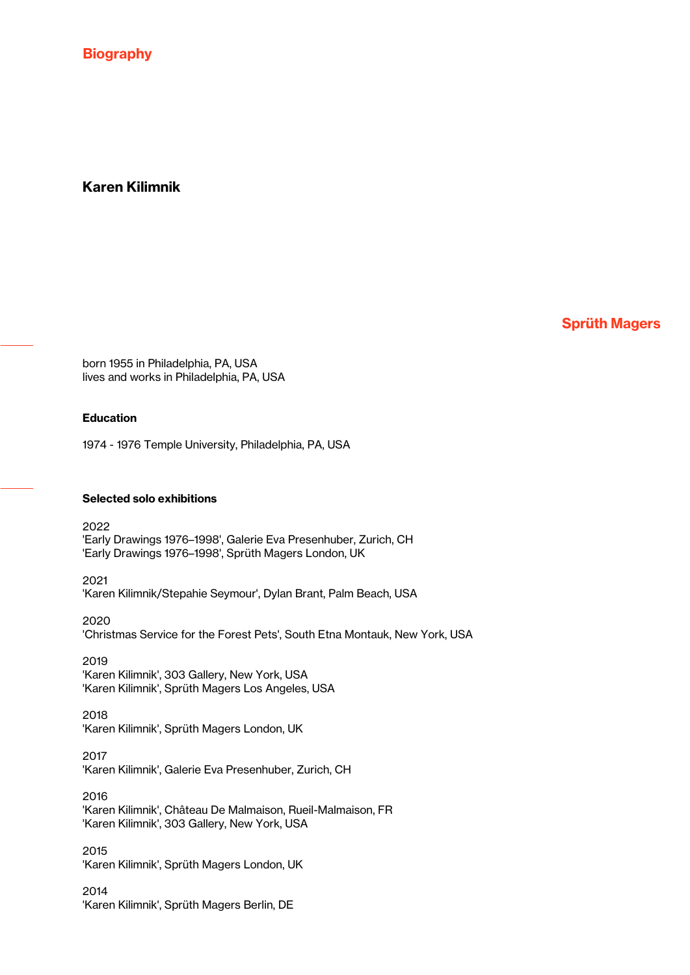**Biography** 

# Karen Kilimnik

Sprüth Magers

born 1955 in Philadelphia, PA, USA lives and works in Philadelphia, PA, USA

### Education

1974 - 1976 Temple University, Philadelphia, PA, USA

#### Selected solo exhibitions

2022 'Early Drawings 1976–1998', Galerie Eva Presenhuber, Zurich, CH 'Early Drawings 1976–1998', Sprüth Magers London, UK

2021 'Karen Kilimnik/Stepahie Seymour', Dylan Brant, Palm Beach, USA

2020 'Christmas Service for the Forest Pets', South Etna Montauk, New York, USA

2019 'Karen Kilimnik', 303 Gallery, New York, USA 'Karen Kilimnik', Sprüth Magers Los Angeles, USA

2018 'Karen Kilimnik', Sprüth Magers London, UK

2017 'Karen Kilimnik', Galerie Eva Presenhuber, Zurich, CH

2016 'Karen Kilimnik', Château De Malmaison, Rueil-Malmaison, FR 'Karen Kilimnik', 303 Gallery, New York, USA

2015 'Karen Kilimnik', Sprüth Magers London, UK

2014 'Karen Kilimnik', Sprüth Magers Berlin, DE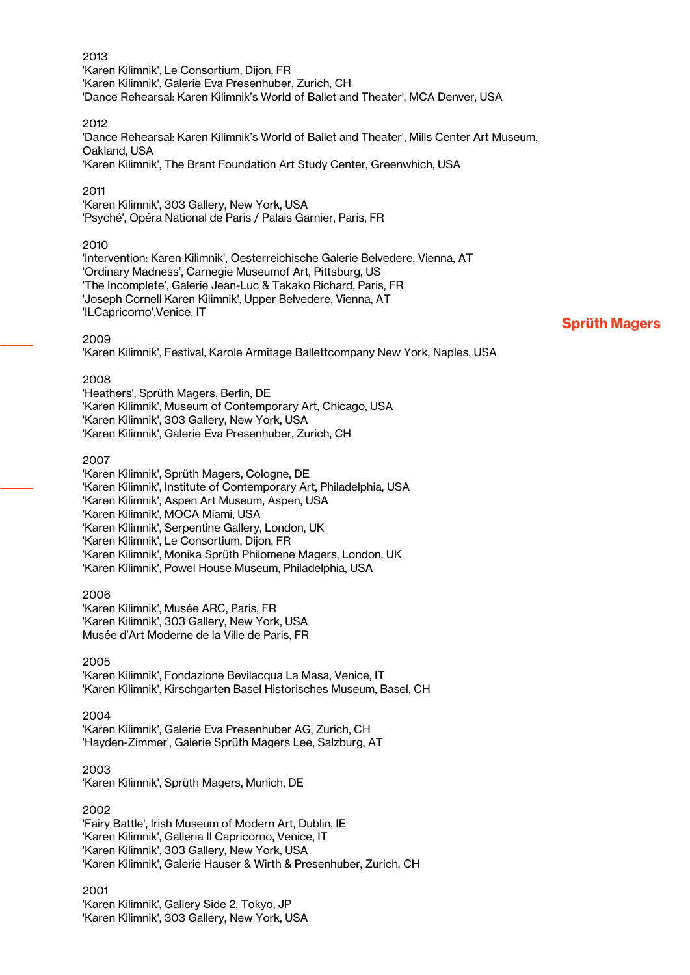#### 2013 'Karen Kilimnik', Le Consortium, Dijon, FR 'Karen Kilimnik', Galerie Eva Presenhuber, Zurich, CH 'Dance Rehearsal: Karen Kilimnik's World of Ballet and Theater', MCA Denver, USA

#### 2012

'Dance Rehearsal: Karen Kilimnik's World of Ballet and Theater', Mills Center Art Museum, Oakland, USA

'Karen Kilimnik', The Brant Foundation Art Study Center, Greenwhich, USA

#### 2011

'Karen Kilimnik', 303 Gallery, New York, USA 'Psyché', Opéra National de Paris / Palais Garnier, Paris, FR

#### 2010

'Intervention: Karen Kilimnik', Oesterreichische Galerie Belvedere, Vienna, AT 'Ordinary Madness', Carnegie Museumof Art, Pittsburg, US 'The Incomplete', Galerie Jean-Luc & Takako Richard, Paris, FR 'Joseph Cornell Karen Kilimnik', Upper Belvedere, Vienna, AT 'ILCapricorno',Venice, IT

#### 2009

'Karen Kilimnik', Festival, Karole Armitage Ballettcompany New York, Naples, USA

#### 2008

'Heathers', Sprüth Magers, Berlin, DE 'Karen Kilimnik', Museum of Contemporary Art, Chicago, USA 'Karen Kilimnik', 303 Gallery, New York, USA 'Karen Kilimnik', Galerie Eva Presenhuber, Zurich, CH

#### 2007

'Karen Kilimnik', Sprüth Magers, Cologne, DE 'Karen Kilimnik', Institute of Contemporary Art, Philadelphia, USA 'Karen Kilimnik', Aspen Art Museum, Aspen, USA 'Karen Kilimnik', MOCA Miami, USA 'Karen Kilimnik', Serpentine Gallery, London, UK 'Karen Kilimnik', Le Consortium, Dijon, FR 'Karen Kilimnik', Monika Sprüth Philomene Magers, London, UK 'Karen Kilimnik', Powel House Museum, Philadelphia, USA

#### 2006

'Karen Kilimnik', Musée ARC, Paris, FR 'Karen Kilimnik', 303 Gallery, New York, USA Musée d'Art Moderne de la Ville de Paris, FR

### 2005

'Karen Kilimnik', Fondazione Bevilacqua La Masa, Venice, IT 'Karen Kilimnik', Kirschgarten Basel Historisches Museum, Basel, CH

#### 2004

'Karen Kilimnik', Galerie Eva Presenhuber AG, Zurich, CH 'Hayden-Zimmer', Galerie Sprüth Magers Lee, Salzburg, AT

#### 2003

'Karen Kilimnik', Sprüth Magers, Munich, DE

### 2002

'Fairy Battle', Irish Museum of Modern Art, Dublin, IE 'Karen Kilimnik', Galleria Il Capricorno, Venice, IT 'Karen Kilimnik', 303 Gallery, New York, USA 'Karen Kilimnik', Galerie Hauser & Wirth & Presenhuber, Zurich, CH

2001 'Karen Kilimnik', Gallery Side 2, Tokyo, JP 'Karen Kilimnik', 303 Gallery, New York, USA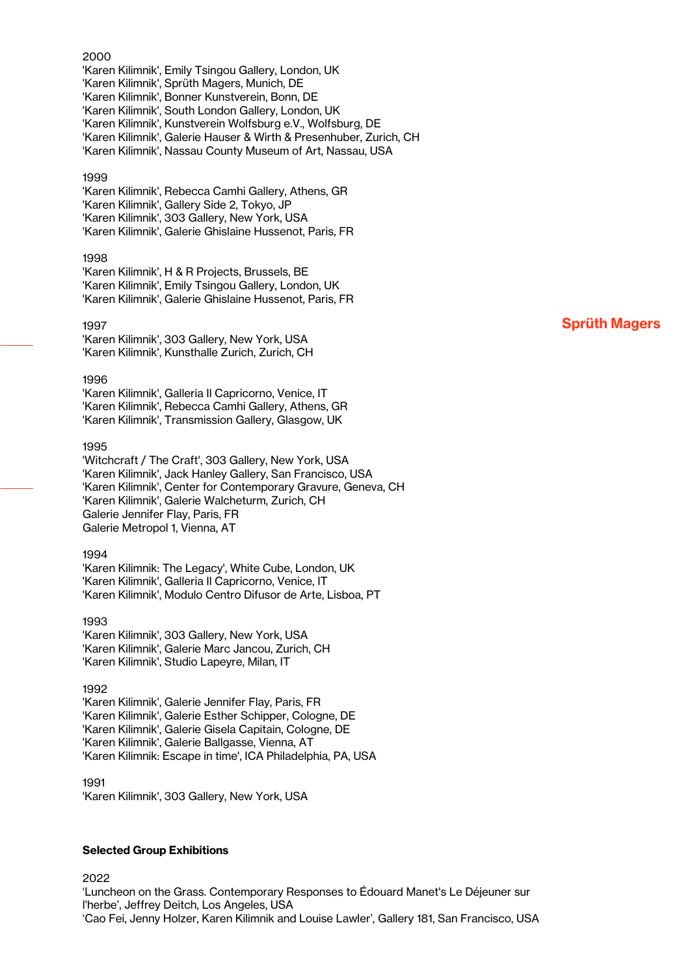#### 2000

'Karen Kilimnik', Emily Tsingou Gallery, London, UK 'Karen Kilimnik', Sprüth Magers, Munich, DE 'Karen Kilimnik', Bonner Kunstverein, Bonn, DE 'Karen Kilimnik', South London Gallery, London, UK 'Karen Kilimnik', Kunstverein Wolfsburg e.V., Wolfsburg, DE 'Karen Kilimnik', Galerie Hauser & Wirth & Presenhuber, Zurich, CH 'Karen Kilimnik', Nassau County Museum of Art, Nassau, USA

#### 1999

'Karen Kilimnik', Rebecca Camhi Gallery, Athens, GR 'Karen Kilimnik', Gallery Side 2, Tokyo, JP 'Karen Kilimnik', 303 Gallery, New York, USA 'Karen Kilimnik', Galerie Ghislaine Hussenot, Paris, FR

#### 1998

'Karen Kilimnik', H & R Projects, Brussels, BE 'Karen Kilimnik', Emily Tsingou Gallery, London, UK 'Karen Kilimnik', Galerie Ghislaine Hussenot, Paris, FR

#### 1997

'Karen Kilimnik', 303 Gallery, New York, USA 'Karen Kilimnik', Kunsthalle Zurich, Zurich, CH

#### 1996

'Karen Kilimnik', Galleria Il Capricorno, Venice, IT 'Karen Kilimnik', Rebecca Camhi Gallery, Athens, GR 'Karen Kilimnik', Transmission Gallery, Glasgow, UK

#### 1995

'Witchcraft / The Craft', 303 Gallery, New York, USA 'Karen Kilimnik', Jack Hanley Gallery, San Francisco, USA 'Karen Kilimnik', Center for Contemporary Gravure, Geneva, CH 'Karen Kilimnik', Galerie Walcheturm, Zurich, CH Galerie Jennifer Flay, Paris, FR Galerie Metropol 1, Vienna, AT

#### 1994

'Karen Kilimnik: The Legacy', White Cube, London, UK 'Karen Kilimnik', Galleria Il Capricorno, Venice, IT 'Karen Kilimnik', Modulo Centro Difusor de Arte, Lisboa, PT

#### 1993

'Karen Kilimnik', 303 Gallery, New York, USA 'Karen Kilimnik', Galerie Marc Jancou, Zurich, CH 'Karen Kilimnik', Studio Lapeyre, Milan, IT

#### 1992

'Karen Kilimnik', Galerie Jennifer Flay, Paris, FR 'Karen Kilimnik', Galerie Esther Schipper, Cologne, DE 'Karen Kilimnik', Galerie Gisela Capitain, Cologne, DE 'Karen Kilimnik', Galerie Ballgasse, Vienna, AT 'Karen Kilimnik: Escape in time', ICA Philadelphia, PA, USA

1991 'Karen Kilimnik', 303 Gallery, New York, USA

#### Selected Group Exhibitions

2022

'Luncheon on the Grass. Contemporary Responses to Édouard Manet's Le Déjeuner sur l'herbe', Jeffrey Deitch, Los Angeles, USA 'Cao Fei, Jenny Holzer, Karen Kilimnik and Louise Lawler', Gallery 181, San Francisco, USA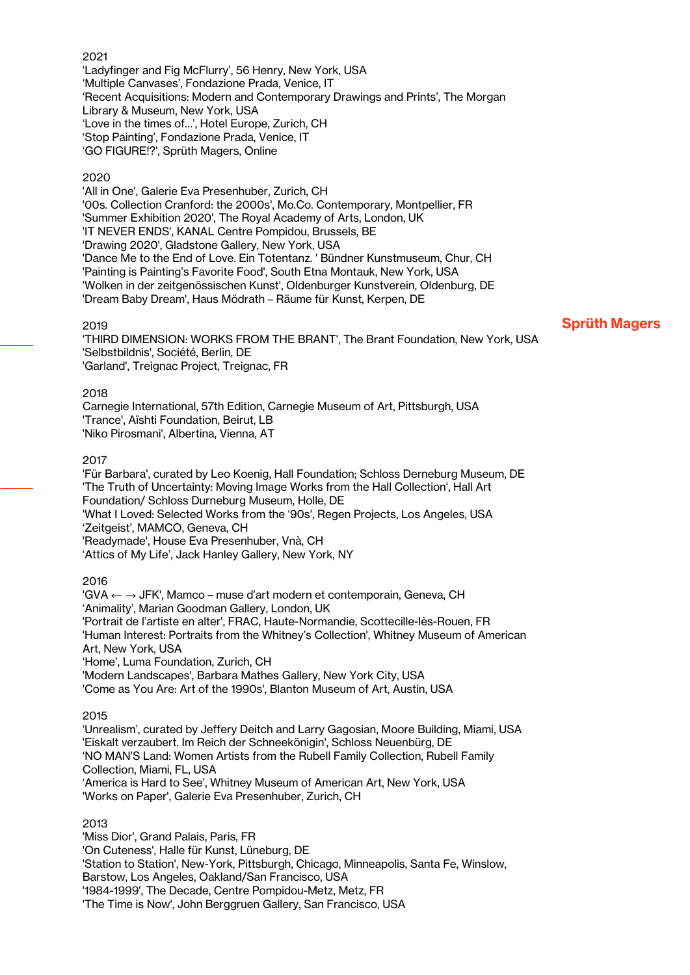#### 2021

'Ladyfinger and Fig McFlurry', 56 Henry, New York, USA 'Multiple Canvases', Fondazione Prada, Venice, IT 'Recent Acquisitions: Modern and Contemporary Drawings and Prints', The Morgan Library & Museum, New York, USA 'Love in the times of…', Hotel Europe, Zurich, CH 'Stop Painting', Fondazione Prada, Venice, IT 'GO FIGURE!?', Sprüth Magers, Online

#### 2020

'All in One', Galerie Eva Presenhuber, Zurich, CH '00s. Collection Cranford: the 2000s', Mo.Co. Contemporary, Montpellier, FR 'Summer Exhibition 2020', The Royal Academy of Arts, London, UK 'IT NEVER ENDS', KANAL Centre Pompidou, Brussels, BE 'Drawing 2020', Gladstone Gallery, New York, USA 'Dance Me to the End of Love. Ein Totentanz. ' Bündner Kunstmuseum, Chur, CH 'Painting is Painting's Favorite Food', South Etna Montauk, New York, USA 'Wolken in der zeitgenössischen Kunst', Oldenburger Kunstverein, Oldenburg, DE 'Dream Baby Dream', Haus Mödrath – Räume für Kunst, Kerpen, DE

#### 2019

'THIRD DIMENSION: WORKS FROM THE BRANT', The Brant Foundation, New York, USA 'Selbstbildnis', Société, Berlin, DE 'Garland', Treignac Project, Treignac, FR

#### 2018

Carnegie International, 57th Edition, Carnegie Museum of Art, Pittsburgh, USA 'Trance', Aïshti Foundation, Beirut, LB 'Niko Pirosmani', Albertina, Vienna, AT

#### 2017

'Für Barbara', curated by Leo Koenig, Hall Foundation; Schloss Derneburg Museum, DE 'The Truth of Uncertainty: Moving Image Works from the Hall Collection', Hall Art Foundation/ Schloss Durneburg Museum, Holle, DE 'What I Loved: Selected Works from the '90s', Regen Projects, Los Angeles, USA 'Zeitgeist', MAMCO, Geneva, CH 'Readymade', House Eva Presenhuber, Vnà, CH 'Attics of My Life', Jack Hanley Gallery, New York, NY

### 2016

'GVA ← → JFK', Mamco – muse d'art modern et contemporain, Geneva, CH 'Animality', Marian Goodman Gallery, London, UK 'Portrait de l'artiste en alter', FRAC, Haute-Normandie, Scottecille-lès-Rouen, FR 'Human Interest: Portraits from the Whitney's Collection', Whitney Museum of American Art, New York, USA 'Home', Luma Foundation, Zurich, CH 'Modern Landscapes', Barbara Mathes Gallery, New York City, USA 'Come as You Are: Art of the 1990s', Blanton Museum of Art, Austin, USA

#### 2015

'Unrealism', curated by Jeffery Deitch and Larry Gagosian, Moore Building, Miami, USA 'Eiskalt verzaubert. Im Reich der Schneekönigin', Schloss Neuenbürg, DE 'NO MAN'S Land: Women Artists from the Rubell Family Collection, Rubell Family Collection, Miami, FL, USA 'America is Hard to See', Whitney Museum of American Art, New York, USA 'Works on Paper', Galerie Eva Presenhuber, Zurich, CH

### 2013

'Miss Dior', Grand Palais, Paris, FR 'On Cuteness', Halle für Kunst, Lüneburg, DE 'Station to Station', New-York, Pittsburgh, Chicago, Minneapolis, Santa Fe, Winslow, Barstow, Los Angeles, Oakland/San Francisco, USA '1984-1999', The Decade, Centre Pompidou-Metz, Metz, FR 'The Time is Now', John Berggruen Gallery, San Francisco, USA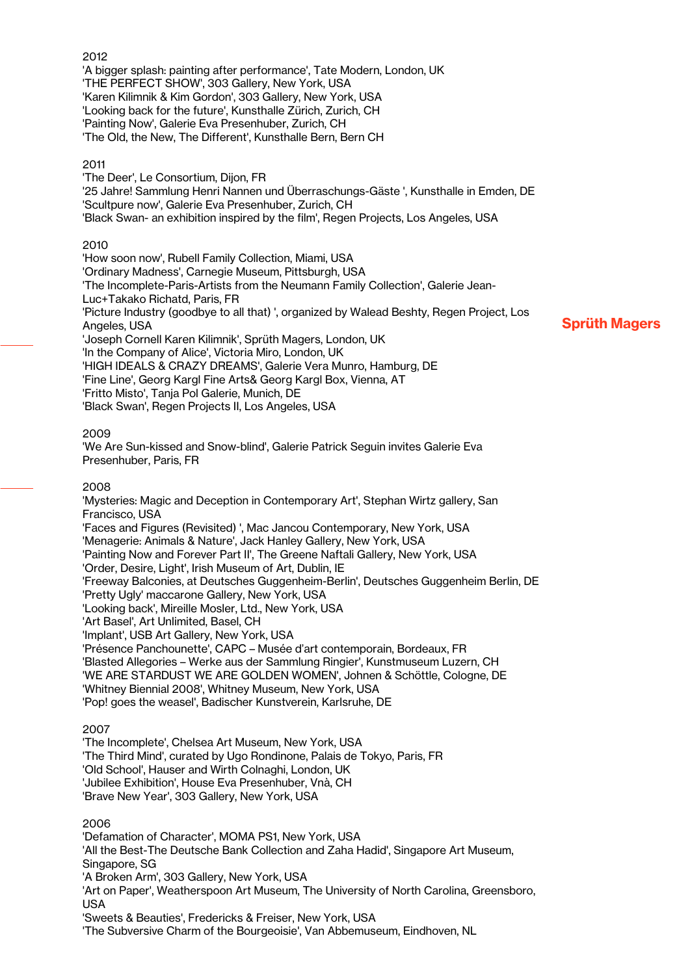#### 2012

'A bigger splash: painting after performance', Tate Modern, London, UK 'THE PERFECT SHOW', 303 Gallery, New York, USA 'Karen Kilimnik & Kim Gordon', 303 Gallery, New York, USA 'Looking back for the future', Kunsthalle Zürich, Zurich, CH 'Painting Now', Galerie Eva Presenhuber, Zurich, CH 'The Old, the New, The Different', Kunsthalle Bern, Bern CH

#### 2011

'The Deer', Le Consortium, Dijon, FR '25 Jahre! Sammlung Henri Nannen und Überraschungs-Gäste ', Kunsthalle in Emden, DE 'Scultpure now', Galerie Eva Presenhuber, Zurich, CH 'Black Swan- an exhibition inspired by the film', Regen Projects, Los Angeles, USA

#### 2010

'How soon now', Rubell Family Collection, Miami, USA 'Ordinary Madness', Carnegie Museum, Pittsburgh, USA 'The Incomplete-Paris-Artists from the Neumann Family Collection', Galerie Jean-Luc+Takako Richatd, Paris, FR 'Picture Industry (goodbye to all that) ', organized by Walead Beshty, Regen Project, Los Angeles, USA 'Joseph Cornell Karen Kilimnik', Sprüth Magers, London, UK 'In the Company of Alice', Victoria Miro, London, UK 'HIGH IDEALS & CRAZY DREAMS', Galerie Vera Munro, Hamburg, DE 'Fine Line', Georg Kargl Fine Arts& Georg Kargl Box, Vienna, AT 'Fritto Misto', Tanja Pol Galerie, Munich, DE 'Black Swan', Regen Projects II, Los Angeles, USA

Sprüth Magers

#### 2009

'We Are Sun-kissed and Snow-blind', Galerie Patrick Seguin invites Galerie Eva Presenhuber, Paris, FR

#### 2008

'Mysteries: Magic and Deception in Contemporary Art', Stephan Wirtz gallery, San Francisco, USA 'Faces and Figures (Revisited) ', Mac Jancou Contemporary, New York, USA 'Menagerie: Animals & Nature', Jack Hanley Gallery, New York, USA 'Painting Now and Forever Part II', The Greene Naftali Gallery, New York, USA 'Order, Desire, Light', Irish Museum of Art, Dublin, IE 'Freeway Balconies, at Deutsches Guggenheim-Berlin', Deutsches Guggenheim Berlin, DE 'Pretty Ugly' maccarone Gallery, New York, USA 'Looking back', Mireille Mosler, Ltd., New York, USA 'Art Basel', Art Unlimited, Basel, CH 'Implant', USB Art Gallery, New York, USA 'Présence Panchounette', CAPC – Musée d'art contemporain, Bordeaux, FR 'Blasted Allegories – Werke aus der Sammlung Ringier', Kunstmuseum Luzern, CH 'WE ARE STARDUST WE ARE GOLDEN WOMEN', Johnen & Schöttle, Cologne, DE 'Whitney Biennial 2008', Whitney Museum, New York, USA 'Pop! goes the weasel', Badischer Kunstverein, Karlsruhe, DE

#### 2007

'The Incomplete', Chelsea Art Museum, New York, USA 'The Third Mind', curated by Ugo Rondinone, Palais de Tokyo, Paris, FR 'Old School', Hauser and Wirth Colnaghi, London, UK 'Jubilee Exhibition', House Eva Presenhuber, Vnà, CH 'Brave New Year', 303 Gallery, New York, USA

#### 2006

'Defamation of Character', MOMA PS1, New York, USA 'All the Best-The Deutsche Bank Collection and Zaha Hadid', Singapore Art Museum, Singapore, SG 'A Broken Arm', 303 Gallery, New York, USA 'Art on Paper', Weatherspoon Art Museum, The University of North Carolina, Greensboro, USA 'Sweets & Beauties', Fredericks & Freiser, New York, USA

'The Subversive Charm of the Bourgeoisie', Van Abbemuseum, Eindhoven, NL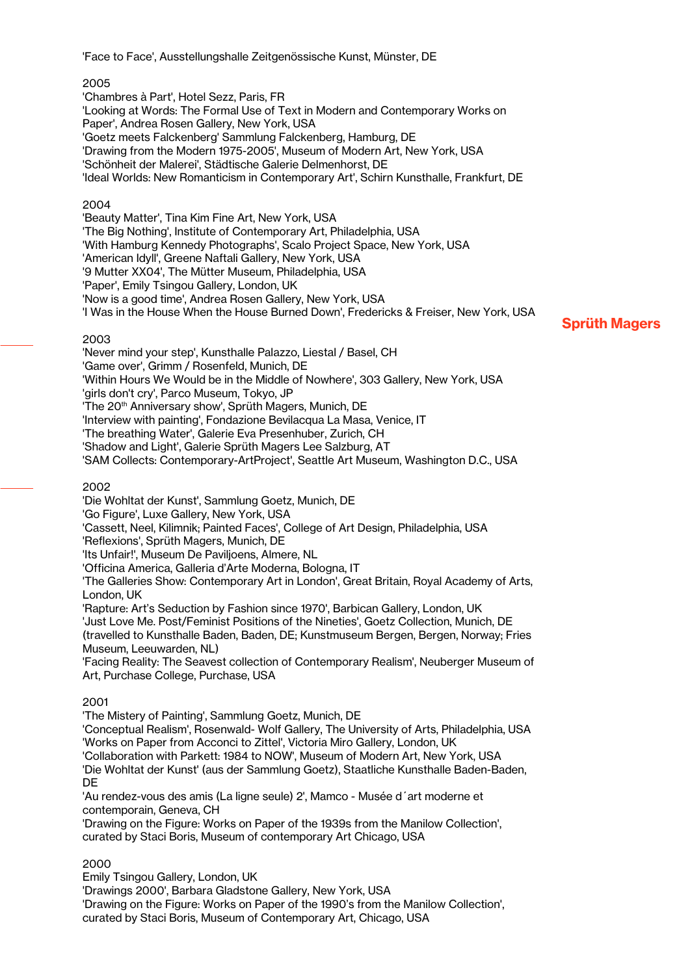'Face to Face', Ausstellungshalle Zeitgenössische Kunst, Münster, DE

### 2005

'Chambres à Part', Hotel Sezz, Paris, FR 'Looking at Words: The Formal Use of Text in Modern and Contemporary Works on Paper', Andrea Rosen Gallery, New York, USA 'Goetz meets Falckenberg' Sammlung Falckenberg, Hamburg, DE 'Drawing from the Modern 1975-2005', Museum of Modern Art, New York, USA 'Schönheit der Malerei', Städtische Galerie Delmenhorst, DE 'Ideal Worlds: New Romanticism in Contemporary Art', Schirn Kunsthalle, Frankfurt, DE

### 2004

'Beauty Matter', Tina Kim Fine Art, New York, USA 'The Big Nothing', Institute of Contemporary Art, Philadelphia, USA 'With Hamburg Kennedy Photographs', Scalo Project Space, New York, USA 'American Idyll', Greene Naftali Gallery, New York, USA '9 Mutter XX04', The Mütter Museum, Philadelphia, USA 'Paper', Emily Tsingou Gallery, London, UK 'Now is a good time', Andrea Rosen Gallery, New York, USA 'I Was in the House When the House Burned Down', Fredericks & Freiser, New York, USA

#### 2003

'Never mind your step', Kunsthalle Palazzo, Liestal / Basel, CH 'Game over', Grimm / Rosenfeld, Munich, DE 'Within Hours We Would be in the Middle of Nowhere', 303 Gallery, New York, USA 'girls don't cry', Parco Museum, Tokyo, JP 'The 20<sup>th</sup> Anniversary show', Sprüth Magers, Munich, DE 'Interview with painting', Fondazione Bevilacqua La Masa, Venice, IT 'The breathing Water', Galerie Eva Presenhuber, Zurich, CH 'Shadow and Light', Galerie Sprüth Magers Lee Salzburg, AT 'SAM Collects: Contemporary-ArtProject', Seattle Art Museum, Washington D.C., USA

### 2002

'Die Wohltat der Kunst', Sammlung Goetz, Munich, DE

'Go Figure', Luxe Gallery, New York, USA

'Cassett, Neel, Kilimnik; Painted Faces', College of Art Design, Philadelphia, USA

'Reflexions', Sprüth Magers, Munich, DE

'Its Unfair!', Museum De Paviljoens, Almere, NL

'Officina America, Galleria d'Arte Moderna, Bologna, IT

'The Galleries Show: Contemporary Art in London', Great Britain, Royal Academy of Arts, London, UK

'Rapture: Art's Seduction by Fashion since 1970', Barbican Gallery, London, UK

'Just Love Me. Post/Feminist Positions of the Nineties', Goetz Collection, Munich, DE (travelled to Kunsthalle Baden, Baden, DE; Kunstmuseum Bergen, Bergen, Norway; Fries Museum, Leeuwarden, NL)

'Facing Reality: The Seavest collection of Contemporary Realism', Neuberger Museum of Art, Purchase College, Purchase, USA

### 2001

'The Mistery of Painting', Sammlung Goetz, Munich, DE

'Conceptual Realism', Rosenwald- Wolf Gallery, The University of Arts, Philadelphia, USA 'Works on Paper from Acconci to Zittel', Victoria Miro Gallery, London, UK

'Collaboration with Parkett: 1984 to NOW', Museum of Modern Art, New York, USA

'Die Wohltat der Kunst' (aus der Sammlung Goetz), Staatliche Kunsthalle Baden-Baden, DE

'Au rendez-vous des amis (La ligne seule) 2', Mamco - Musée d´art moderne et contemporain, Geneva, CH

'Drawing on the Figure: Works on Paper of the 1939s from the Manilow Collection', curated by Staci Boris, Museum of contemporary Art Chicago, USA

### 2000

Emily Tsingou Gallery, London, UK

'Drawings 2000', Barbara Gladstone Gallery, New York, USA

'Drawing on the Figure: Works on Paper of the 1990's from the Manilow Collection', curated by Staci Boris, Museum of Contemporary Art, Chicago, USA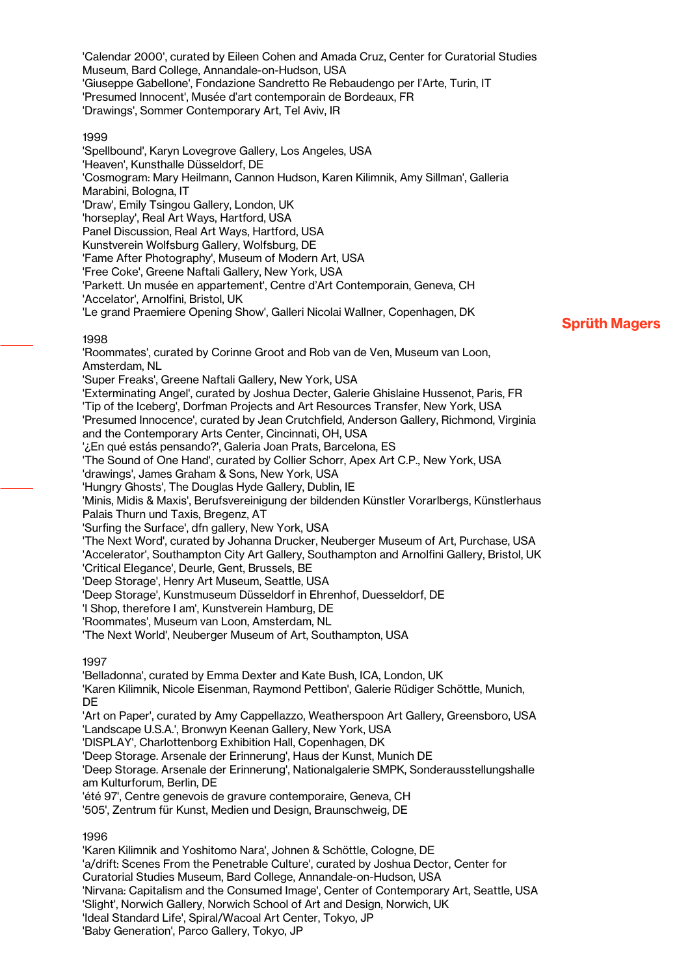'Calendar 2000', curated by Eileen Cohen and Amada Cruz, Center for Curatorial Studies Museum, Bard College, Annandale-on-Hudson, USA 'Giuseppe Gabellone', Fondazione Sandretto Re Rebaudengo per l'Arte, Turin, IT 'Presumed Innocent', Musée d'art contemporain de Bordeaux, FR 'Drawings', Sommer Contemporary Art, Tel Aviv, IR

#### 1999

'Spellbound', Karyn Lovegrove Gallery, Los Angeles, USA 'Heaven', Kunsthalle Düsseldorf, DE 'Cosmogram: Mary Heilmann, Cannon Hudson, Karen Kilimnik, Amy Sillman', Galleria Marabini, Bologna, IT 'Draw', Emily Tsingou Gallery, London, UK 'horseplay', Real Art Ways, Hartford, USA Panel Discussion, Real Art Ways, Hartford, USA Kunstverein Wolfsburg Gallery, Wolfsburg, DE 'Fame After Photography', Museum of Modern Art, USA 'Free Coke', Greene Naftali Gallery, New York, USA 'Parkett. Un musée en appartement', Centre d'Art Contemporain, Geneva, CH 'Accelator', Arnolfini, Bristol, UK 'Le grand Praemiere Opening Show', Galleri Nicolai Wallner, Copenhagen, DK **1998** 'Roommates', curated by Corinne Groot and Rob van de Ven, Museum van Loon, Amsterdam, NL 'Super Freaks', Greene Naftali Gallery, New York, USA 'Exterminating Angel', curated by Joshua Decter, Galerie Ghislaine Hussenot, Paris, FR 'Tip of the Iceberg', Dorfman Projects and Art Resources Transfer, New York, USA 'Presumed Innocence', curated by Jean Crutchfield, Anderson Gallery, Richmond, Virginia and the Contemporary Arts Center, Cincinnati, OH, USA '¿En qué estás pensando?', Galeria Joan Prats, Barcelona, ES 'The Sound of One Hand', curated by Collier Schorr, Apex Art C.P., New York, USA 'drawings', James Graham & Sons, New York, USA 'Hungry Ghosts', The Douglas Hyde Gallery, Dublin, IE 'Minis, Midis & Maxis', Berufsvereinigung der bildenden Künstler Vorarlbergs, Künstlerhaus Palais Thurn und Taxis, Bregenz, AT 'Surfing the Surface', dfn gallery, New York, USA 'The Next Word', curated by Johanna Drucker, Neuberger Museum of Art, Purchase, USA 'Accelerator', Southampton City Art Gallery, Southampton and Arnolfini Gallery, Bristol, UK 'Critical Elegance', Deurle, Gent, Brussels, BE 'Deep Storage', Henry Art Museum, Seattle, USA 'Deep Storage', Kunstmuseum Düsseldorf in Ehrenhof, Duesseldorf, DE 'I Shop, therefore I am', Kunstverein Hamburg, DE 'Roommates', Museum van Loon, Amsterdam, NL 'The Next World', Neuberger Museum of Art, Southampton, USA 1997 'Belladonna', curated by Emma Dexter and Kate Bush, ICA, London, UK 'Karen Kilimnik, Nicole Eisenman, Raymond Pettibon', Galerie Rüdiger Schöttle, Munich, DE 'Art on Paper', curated by Amy Cappellazzo, Weatherspoon Art Gallery, Greensboro, USA 'Landscape U.S.A.', Bronwyn Keenan Gallery, New York, USA 'DISPLAY', Charlottenborg Exhibition Hall, Copenhagen, DK 'Deep Storage. Arsenale der Erinnerung', Haus der Kunst, Munich DE 'Deep Storage. Arsenale der Erinnerung', Nationalgalerie SMPK, Sonderausstellungshalle am Kulturforum, Berlin, DE 'été 97', Centre genevois de gravure contemporaire, Geneva, CH '505', Zentrum für Kunst, Medien und Design, Braunschweig, DE

Sprüth Magers

1996

'Karen Kilimnik and Yoshitomo Nara', Johnen & Schöttle, Cologne, DE 'a/drift: Scenes From the Penetrable Culture', curated by Joshua Dector, Center for Curatorial Studies Museum, Bard College, Annandale-on-Hudson, USA 'Nirvana: Capitalism and the Consumed Image', Center of Contemporary Art, Seattle, USA 'Slight', Norwich Gallery, Norwich School of Art and Design, Norwich, UK 'Ideal Standard Life', Spiral/Wacoal Art Center, Tokyo, JP 'Baby Generation', Parco Gallery, Tokyo, JP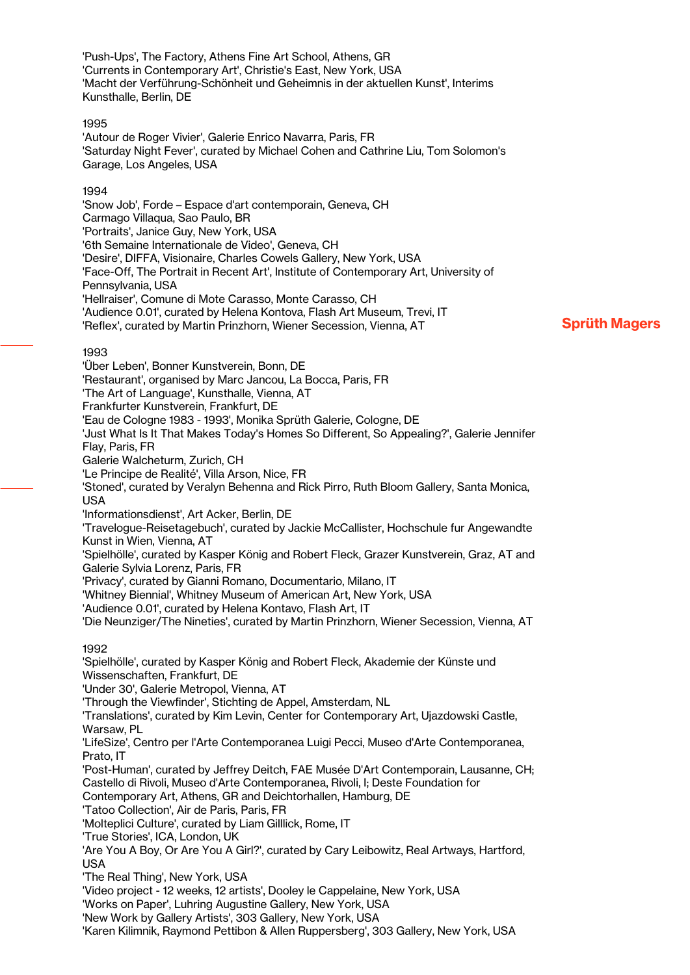'Push-Ups', The Factory, Athens Fine Art School, Athens, GR 'Currents in Contemporary Art', Christie's East, New York, USA 'Macht der Verführung-Schönheit und Geheimnis in der aktuellen Kunst', Interims Kunsthalle, Berlin, DE

#### 1995

'Autour de Roger Vivier', Galerie Enrico Navarra, Paris, FR 'Saturday Night Fever', curated by Michael Cohen and Cathrine Liu, Tom Solomon's Garage, Los Angeles, USA

#### 1994

'Snow Job', Forde – Espace d'art contemporain, Geneva, CH Carmago Villaqua, Sao Paulo, BR 'Portraits', Janice Guy, New York, USA '6th Semaine Internationale de Video', Geneva, CH 'Desire', DIFFA, Visionaire, Charles Cowels Gallery, New York, USA 'Face-Off, The Portrait in Recent Art', Institute of Contemporary Art, University of Pennsylvania, USA 'Hellraiser', Comune di Mote Carasso, Monte Carasso, CH 'Audience 0.01', curated by Helena Kontova, Flash Art Museum, Trevi, IT 'Reflex', curated by Martin Prinzhorn, Wiener Secession, Vienna, AT

## Sprüth Magers

### 1993

'Über Leben', Bonner Kunstverein, Bonn, DE 'Restaurant', organised by Marc Jancou, La Bocca, Paris, FR 'The Art of Language', Kunsthalle, Vienna, AT Frankfurter Kunstverein, Frankfurt, DE 'Eau de Cologne 1983 - 1993', Monika Sprüth Galerie, Cologne, DE 'Just What Is It That Makes Today's Homes So Different, So Appealing?', Galerie Jennifer Flay, Paris, FR Galerie Walcheturm, Zurich, CH 'Le Principe de Realité', Villa Arson, Nice, FR 'Stoned', curated by Veralyn Behenna and Rick Pirro, Ruth Bloom Gallery, Santa Monica, USA 'Informationsdienst', Art Acker, Berlin, DE 'Travelogue-Reisetagebuch', curated by Jackie McCallister, Hochschule fur Angewandte Kunst in Wien, Vienna, AT 'Spielhölle', curated by Kasper König and Robert Fleck, Grazer Kunstverein, Graz, AT and Galerie Sylvia Lorenz, Paris, FR 'Privacy', curated by Gianni Romano, Documentario, Milano, IT 'Whitney Biennial', Whitney Museum of American Art, New York, USA 'Audience 0.01', curated by Helena Kontavo, Flash Art, IT 'Die Neunziger/The Nineties', curated by Martin Prinzhorn, Wiener Secession, Vienna, AT 1992 'Spielhölle', curated by Kasper König and Robert Fleck, Akademie der Künste und Wissenschaften, Frankfurt, DE 'Under 30', Galerie Metropol, Vienna, AT 'Through the Viewfinder', Stichting de Appel, Amsterdam, NL 'Translations', curated by Kim Levin, Center for Contemporary Art, Ujazdowski Castle, Warsaw, PL 'LifeSize', Centro per l'Arte Contemporanea Luigi Pecci, Museo d'Arte Contemporanea, Prato, IT 'Post-Human', curated by Jeffrey Deitch, FAE Musée D'Art Contemporain, Lausanne, CH; Castello di Rivoli, Museo d'Arte Contemporanea, Rivoli, I; Deste Foundation for Contemporary Art, Athens, GR and Deichtorhallen, Hamburg, DE 'Tatoo Collection', Air de Paris, Paris, FR 'Molteplici Culture', curated by Liam Gilllick, Rome, IT 'True Stories', ICA, London, UK 'Are You A Boy, Or Are You A Girl?', curated by Cary Leibowitz, Real Artways, Hartford, USA 'The Real Thing', New York, USA 'Video project - 12 weeks, 12 artists', Dooley le Cappelaine, New York, USA 'Works on Paper', Luhring Augustine Gallery, New York, USA 'New Work by Gallery Artists', 303 Gallery, New York, USA 'Karen Kilimnik, Raymond Pettibon & Allen Ruppersberg', 303 Gallery, New York, USA